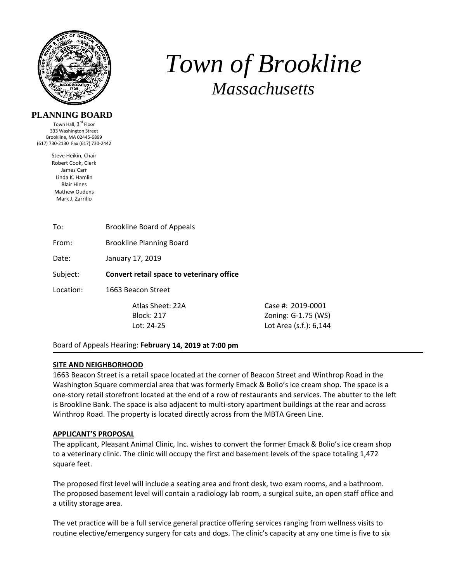

# *Town of Brookline Massachusetts*

# **PLANNING BOARD**

Town Hall, 3<sup>rd</sup> Floor 333 Washington Street Brookline, MA 02445‐6899 (617) 730‐2130 Fax (617) 730‐2442

> Steve Heikin, Chair Robert Cook, Clerk James Carr Linda K. Hamlin Blair Hines Mathew Oudens Mark J. Zarrillo

From: Brookline Planning Board

Date: January 17, 2019

Subject: **Convert retail space to veterinary office** 

Location: 1663 Beacon Street

 Atlas Sheet: 22A Case #: 2019‐0001 Block: 217 Zoning: G‐1.75 (WS) Lot: 24‐25 Lot Area (s.f.): 6,144

Board of Appeals Hearing: **February 14, 2019 at 7:00 pm**

#### **SITE AND NEIGHBORHOOD**

1663 Beacon Street is a retail space located at the corner of Beacon Street and Winthrop Road in the Washington Square commercial area that was formerly Emack & Bolio's ice cream shop. The space is a one‐story retail storefront located at the end of a row of restaurants and services. The abutter to the left is Brookline Bank. The space is also adjacent to multi‐story apartment buildings at the rear and across Winthrop Road. The property is located directly across from the MBTA Green Line.

#### **APPLICANT'S PROPOSAL**

The applicant, Pleasant Animal Clinic, Inc. wishes to convert the former Emack & Bolio's ice cream shop to a veterinary clinic. The clinic will occupy the first and basement levels of the space totaling 1,472 square feet.

The proposed first level will include a seating area and front desk, two exam rooms, and a bathroom. The proposed basement level will contain a radiology lab room, a surgical suite, an open staff office and a utility storage area.

The vet practice will be a full service general practice offering services ranging from wellness visits to routine elective/emergency surgery for cats and dogs. The clinic's capacity at any one time is five to six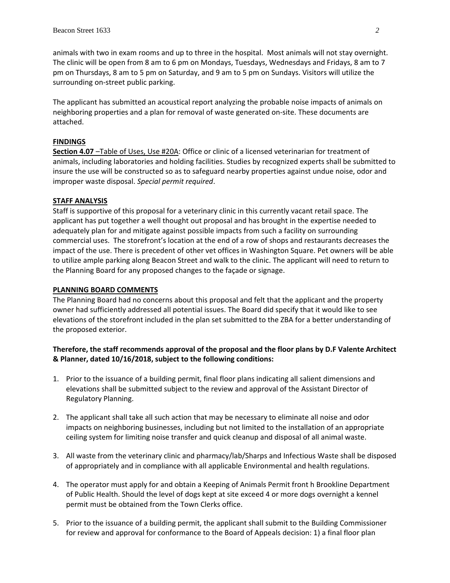animals with two in exam rooms and up to three in the hospital. Most animals will not stay overnight. The clinic will be open from 8 am to 6 pm on Mondays, Tuesdays, Wednesdays and Fridays, 8 am to 7 pm on Thursdays, 8 am to 5 pm on Saturday, and 9 am to 5 pm on Sundays. Visitors will utilize the surrounding on‐street public parking.

The applicant has submitted an acoustical report analyzing the probable noise impacts of animals on neighboring properties and a plan for removal of waste generated on‐site. These documents are attached.

# **FINDINGS**

**Section 4.07** –Table of Uses, Use #20A: Office or clinic of a licensed veterinarian for treatment of animals, including laboratories and holding facilities. Studies by recognized experts shall be submitted to insure the use will be constructed so as to safeguard nearby properties against undue noise, odor and improper waste disposal. *Special permit required*.

# **STAFF ANALYSIS**

Staff is supportive of this proposal for a veterinary clinic in this currently vacant retail space. The applicant has put together a well thought out proposal and has brought in the expertise needed to adequately plan for and mitigate against possible impacts from such a facility on surrounding commercial uses. The storefront's location at the end of a row of shops and restaurants decreases the impact of the use. There is precedent of other vet offices in Washington Square. Pet owners will be able to utilize ample parking along Beacon Street and walk to the clinic. The applicant will need to return to the Planning Board for any proposed changes to the façade or signage.

### **PLANNING BOARD COMMENTS**

The Planning Board had no concerns about this proposal and felt that the applicant and the property owner had sufficiently addressed all potential issues. The Board did specify that it would like to see elevations of the storefront included in the plan set submitted to the ZBA for a better understanding of the proposed exterior.

# **Therefore, the staff recommends approval of the proposal and the floor plans by D.F Valente Architect & Planner, dated 10/16/2018, subject to the following conditions:**

- 1. Prior to the issuance of a building permit, final floor plans indicating all salient dimensions and elevations shall be submitted subject to the review and approval of the Assistant Director of Regulatory Planning.
- 2. The applicant shall take all such action that may be necessary to eliminate all noise and odor impacts on neighboring businesses, including but not limited to the installation of an appropriate ceiling system for limiting noise transfer and quick cleanup and disposal of all animal waste.
- 3. All waste from the veterinary clinic and pharmacy/lab/Sharps and Infectious Waste shall be disposed of appropriately and in compliance with all applicable Environmental and health regulations.
- 4. The operator must apply for and obtain a Keeping of Animals Permit front h Brookline Department of Public Health. Should the level of dogs kept at site exceed 4 or more dogs overnight a kennel permit must be obtained from the Town Clerks office.
- 5. Prior to the issuance of a building permit, the applicant shall submit to the Building Commissioner for review and approval for conformance to the Board of Appeals decision: 1) a final floor plan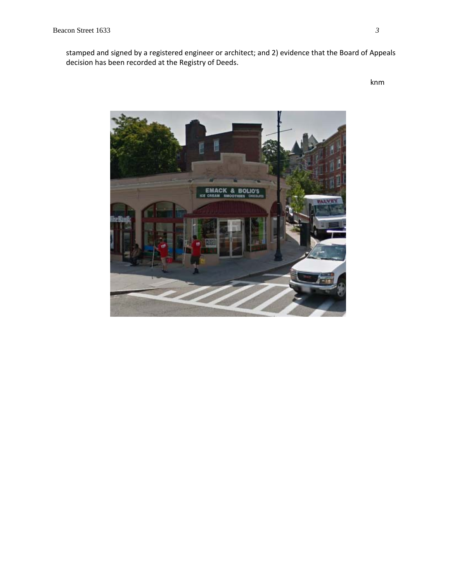stamped and signed by a registered engineer or architect; and 2) evidence that the Board of Appeals decision has been recorded at the Registry of Deeds.

knm

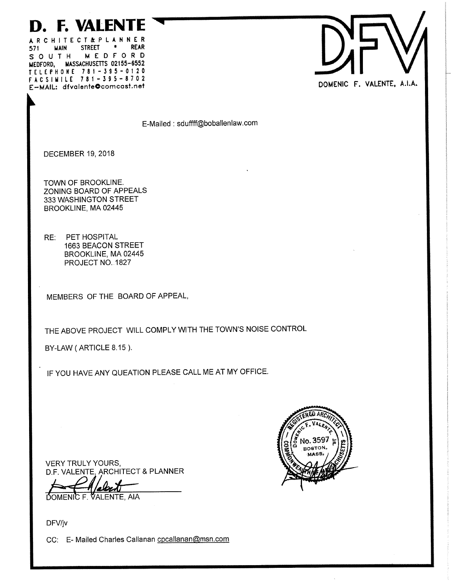# **D. F. VALENTE**

ARCHITECT&PLANNER **STREET**  $\bullet$ **REAR** 571 **MAIN** MEDFORD SOUTH MEDFORD, MASSACHUSETTS 02155-6552 TELEPHONE 781-395-0120 FACSIMILE 781-395-8702 E-MAIL: dfvalente@comcast.net



E-Mailed : sduffff@boballenlaw.com

**DECEMBER 19, 2018** 

TOWN OF BROOKLINE. ZONING BOARD OF APPEALS 333 WASHINGTON STREET BROOKLINE, MA 02445

PET HOSPITAL RE: **1663 BEACON STREET** BROOKLINE, MA 02445 PROJECT NO. 1827

MEMBERS OF THE BOARD OF APPEAL,

THE ABOVE PROJECT WILL COMPLY WITH THE TOWN'S NOISE CONTROL

BY-LAW (ARTICLE 8.15).

IF YOU HAVE ANY QUEATION PLEASE CALL ME AT MY OFFICE.



**VERY TRULY YOURS,** D.F. VALENTE. ARCHITECT & PLANNER

PtAT ש DOMENIC F. VALENTE, AIA

DFV/jv

CC: E- Mailed Charles Callanan cpcallanan@msn.com